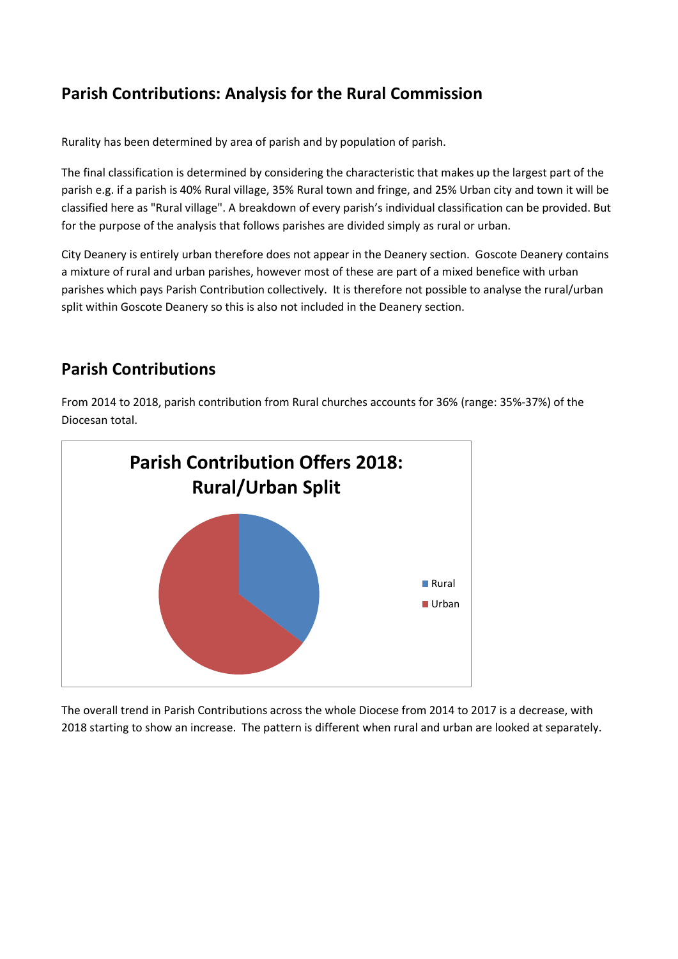# **Parish Contributions: Analysis for the Rural Commission**

Rurality has been determined by area of parish and by population of parish.

The final classification is determined by considering the characteristic that makes up the largest part of the parish e.g. if a parish is 40% Rural village, 35% Rural town and fringe, and 25% Urban city and town it will be classified here as "Rural village". A breakdown of every parish's individual classification can be provided. But for the purpose of the analysis that follows parishes are divided simply as rural or urban.

City Deanery is entirely urban therefore does not appear in the Deanery section. Goscote Deanery contains a mixture of rural and urban parishes, however most of these are part of a mixed benefice with urban parishes which pays Parish Contribution collectively. It is therefore not possible to analyse the rural/urban split within Goscote Deanery so this is also not included in the Deanery section.

## **Parish Contributions**

From 2014 to 2018, parish contribution from Rural churches accounts for 36% (range: 35%-37%) of the Diocesan total.



The overall trend in Parish Contributions across the whole Diocese from 2014 to 2017 is a decrease, with 2018 starting to show an increase. The pattern is different when rural and urban are looked at separately.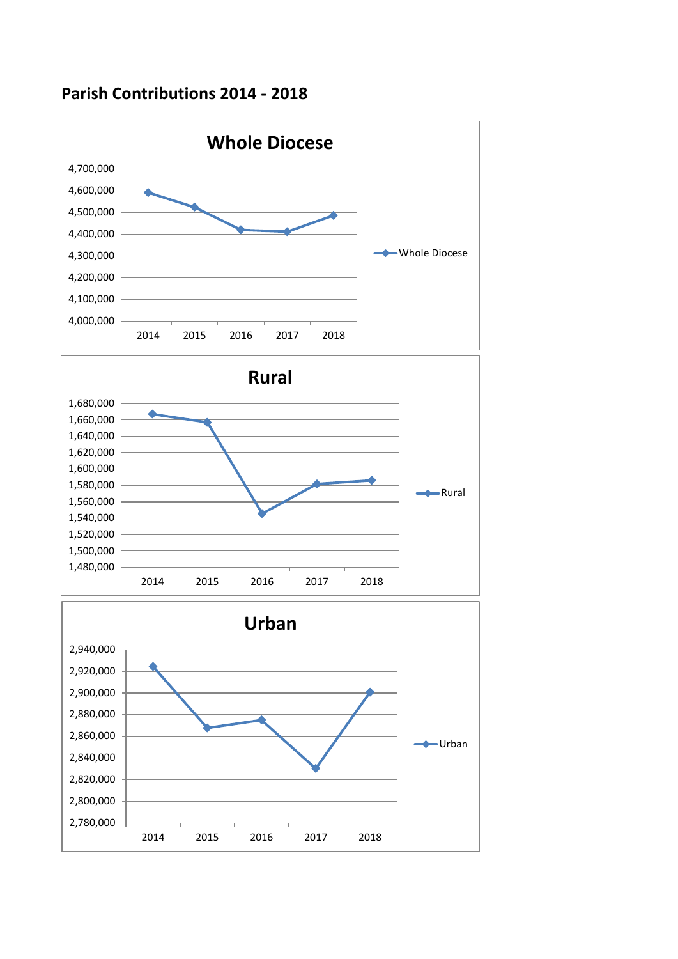## **Parish Contributions 2014 - 2018**

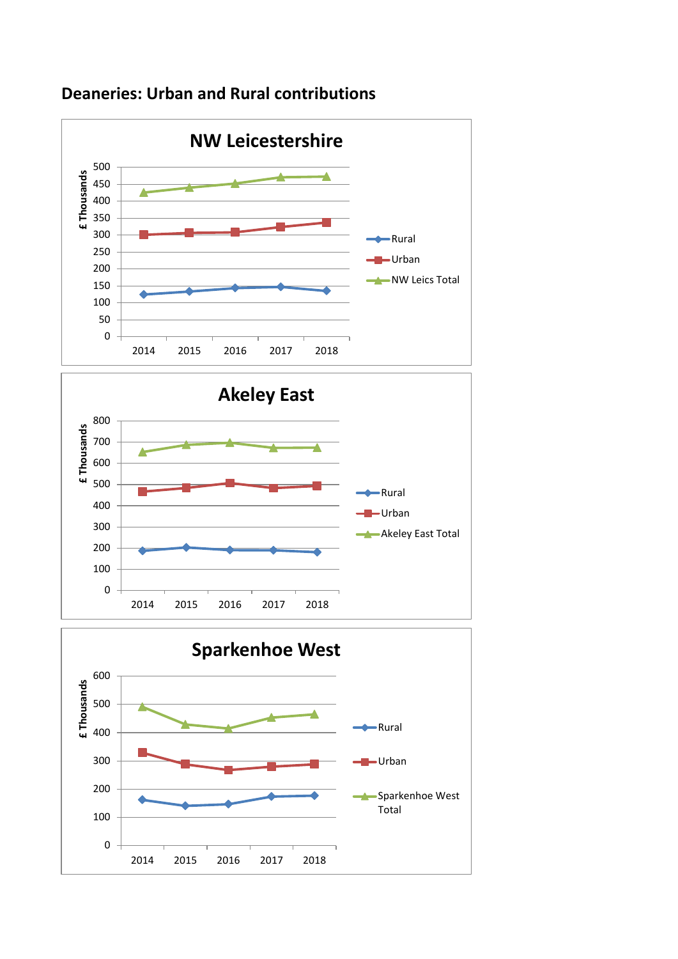

### **Deaneries: Urban and Rural contributions**



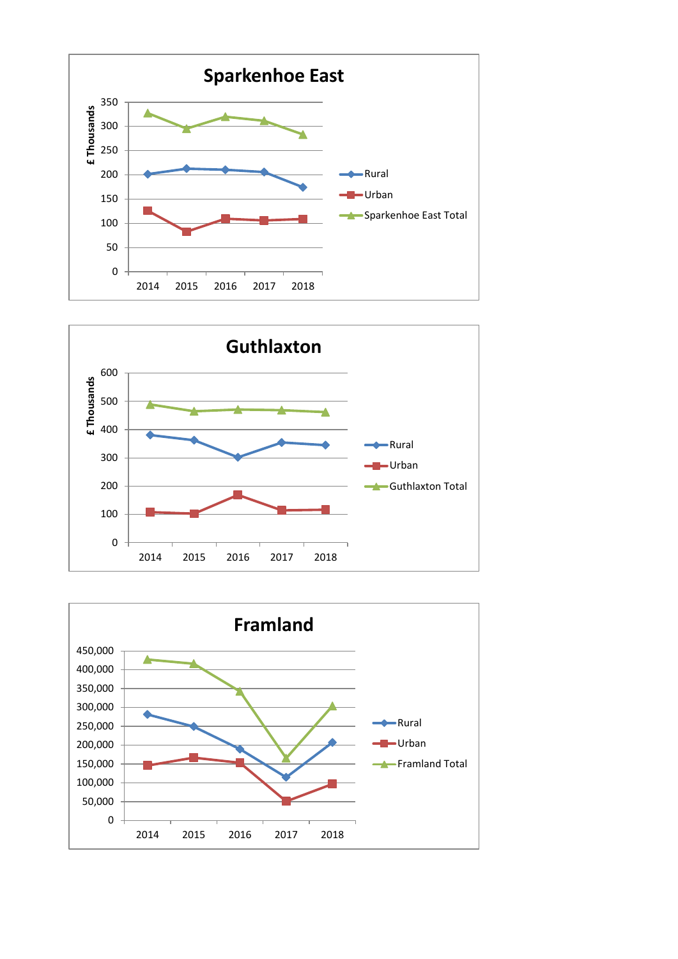



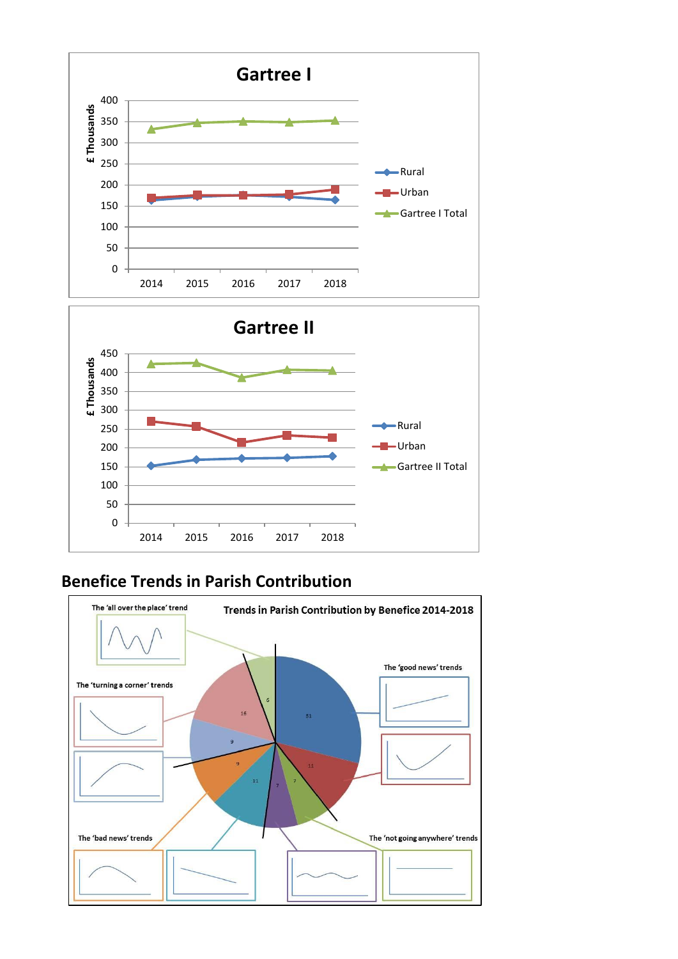



# **Benefice Trends in Parish Contribution**